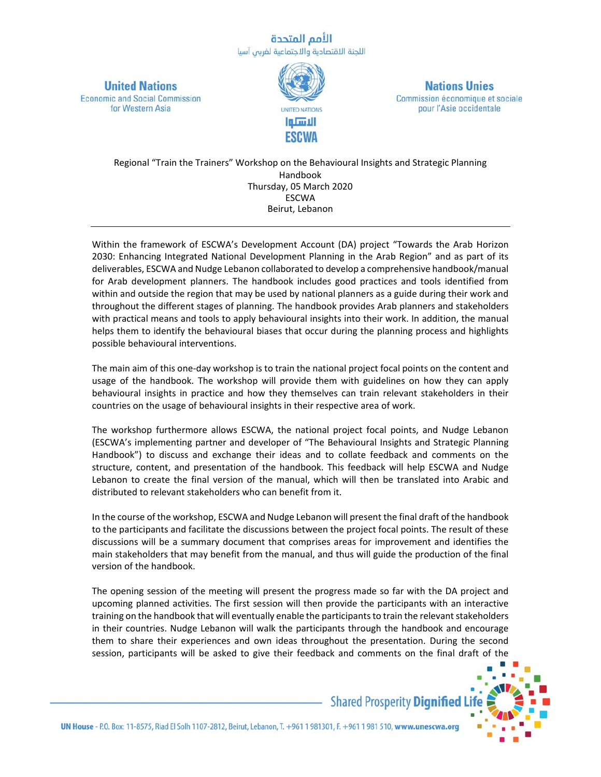## الأمم المتحدة اللجنة الاقتصادية والاجتماعية لغربى آسيا

**United Nations Economic and Social Commission** for Western Asia



**Nations Unies** Commission économique et sociale pour l'Asie occidentale

Regional "Train the Trainers" Workshop on the Behavioural Insights and Strategic Planning Handbook Thursday, 05 March 2020 **FSCWA** Beirut, Lebanon

Within the framework of ESCWA's Development Account (DA) project "Towards the Arab Horizon 2030: Enhancing Integrated National Development Planning in the Arab Region" and as part of its deliverables, ESCWA and Nudge Lebanon collaborated to develop a comprehensive handbook/manual for Arab development planners. The handbook includes good practices and tools identified from within and outside the region that may be used by national planners as a guide during their work and throughout the different stages of planning. The handbook provides Arab planners and stakeholders with practical means and tools to apply behavioural insights into their work. In addition, the manual helps them to identify the behavioural biases that occur during the planning process and highlights possible behavioural interventions.

The main aim of this one‐day workshop is to train the national project focal points on the content and usage of the handbook. The workshop will provide them with guidelines on how they can apply behavioural insights in practice and how they themselves can train relevant stakeholders in their countries on the usage of behavioural insights in their respective area of work.

The workshop furthermore allows ESCWA, the national project focal points, and Nudge Lebanon (ESCWA's implementing partner and developer of "The Behavioural Insights and Strategic Planning Handbook") to discuss and exchange their ideas and to collate feedback and comments on the structure, content, and presentation of the handbook. This feedback will help ESCWA and Nudge Lebanon to create the final version of the manual, which will then be translated into Arabic and distributed to relevant stakeholders who can benefit from it.

In the course of the workshop, ESCWA and Nudge Lebanon will present the final draft of the handbook to the participants and facilitate the discussions between the project focal points. The result of these discussions will be a summary document that comprises areas for improvement and identifies the main stakeholders that may benefit from the manual, and thus will guide the production of the final version of the handbook.

The opening session of the meeting will present the progress made so far with the DA project and upcoming planned activities. The first session will then provide the participants with an interactive training on the handbook that will eventually enable the participants to train the relevant stakeholders in their countries. Nudge Lebanon will walk the participants through the handbook and encourage them to share their experiences and own ideas throughout the presentation. During the second session, participants will be asked to give their feedback and comments on the final draft of the



UN House - P.O. Box: 11-8575, Riad El Solh 1107-2812, Beirut, Lebanon, T. +961 1981301, F. +961 1981 510, www.unescwa.org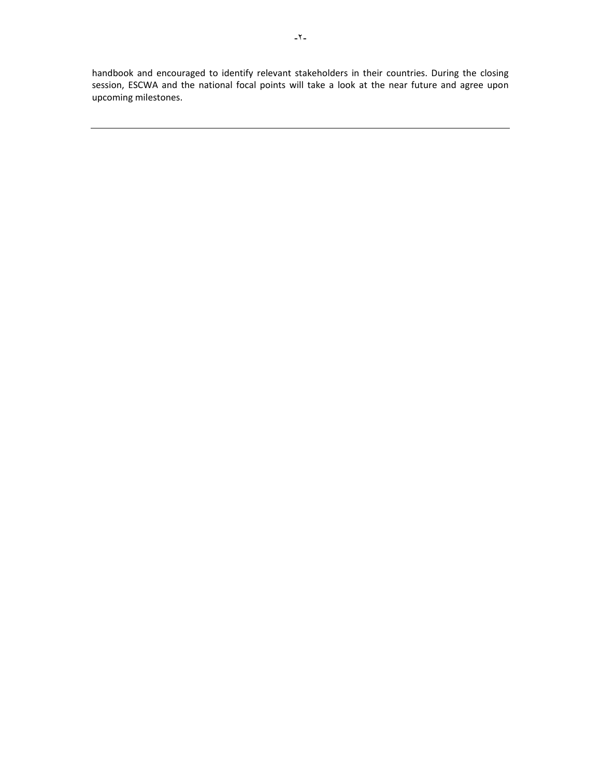handbook and encouraged to identify relevant stakeholders in their countries. During the closing session, ESCWA and the national focal points will take a look at the near future and agree upon upcoming milestones.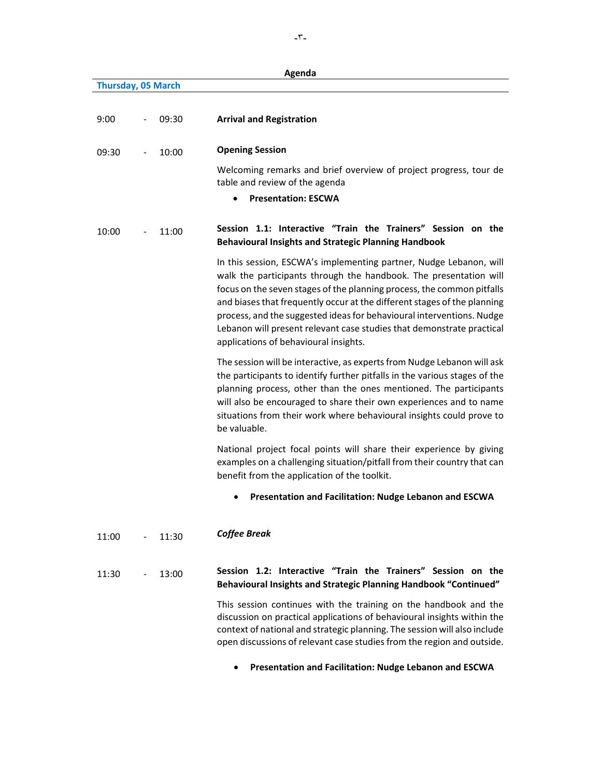|                    |       | Agenda                                                                                                                                                                                                                                                                                                                                                                                                                                                                                   |
|--------------------|-------|------------------------------------------------------------------------------------------------------------------------------------------------------------------------------------------------------------------------------------------------------------------------------------------------------------------------------------------------------------------------------------------------------------------------------------------------------------------------------------------|
| Thursday, 05 March |       |                                                                                                                                                                                                                                                                                                                                                                                                                                                                                          |
| 9:00               | 09:30 | <b>Arrival and Registration</b>                                                                                                                                                                                                                                                                                                                                                                                                                                                          |
| 09:30              | 10:00 | <b>Opening Session</b>                                                                                                                                                                                                                                                                                                                                                                                                                                                                   |
|                    |       | Welcoming remarks and brief overview of project progress, tour de<br>table and review of the agenda                                                                                                                                                                                                                                                                                                                                                                                      |
|                    |       | <b>Presentation: ESCWA</b>                                                                                                                                                                                                                                                                                                                                                                                                                                                               |
| 10:00              | 11:00 | Session 1.1: Interactive "Train the Trainers" Session on the<br><b>Behavioural Insights and Strategic Planning Handbook</b>                                                                                                                                                                                                                                                                                                                                                              |
|                    |       | In this session, ESCWA's implementing partner, Nudge Lebanon, will<br>walk the participants through the handbook. The presentation will<br>focus on the seven stages of the planning process, the common pitfalls<br>and biases that frequently occur at the different stages of the planning<br>process, and the suggested ideas for behavioural interventions. Nudge<br>Lebanon will present relevant case studies that demonstrate practical<br>applications of behavioural insights. |
|                    |       | The session will be interactive, as experts from Nudge Lebanon will ask<br>the participants to identify further pitfalls in the various stages of the<br>planning process, other than the ones mentioned. The participants<br>will also be encouraged to share their own experiences and to name<br>situations from their work where behavioural insights could prove to<br>be valuable.                                                                                                 |
|                    |       | National project focal points will share their experience by giving<br>examples on a challenging situation/pitfall from their country that can<br>benefit from the application of the toolkit.                                                                                                                                                                                                                                                                                           |
|                    |       | Presentation and Facilitation: Nudge Lebanon and ESCWA<br>٠                                                                                                                                                                                                                                                                                                                                                                                                                              |
| 11:00              | 11:30 | <b>Coffee Break</b>                                                                                                                                                                                                                                                                                                                                                                                                                                                                      |
| 11:30              | 13:00 | Session 1.2: Interactive "Train the Trainers" Session on the<br><b>Behavioural Insights and Strategic Planning Handbook "Continued"</b>                                                                                                                                                                                                                                                                                                                                                  |
|                    |       | This session continues with the training on the handbook and the<br>discussion on practical applications of behavioural insights within the<br>context of national and strategic planning. The session will also include<br>open discussions of relevant case studies from the region and outside.                                                                                                                                                                                       |
|                    |       | Presentation and Facilitation: Nudge Lebanon and ESCWA                                                                                                                                                                                                                                                                                                                                                                                                                                   |